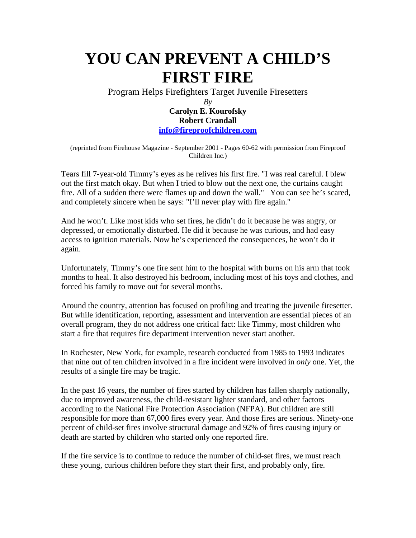## **YOU CAN PREVENT A CHILD'S FIRST FIRE**

Program Helps Firefighters Target Juvenile Firesetters

**Carolyn E. Kourofsky Robert Crandall info@fireproofchildren.com** 

(reprinted from Firehouse Magazine - September 2001 - Pages 60-62 with permission from Fireproof Children Inc.)

Tears fill 7-year-old Timmy's eyes as he relives his first fire. "I was real careful. I blew out the first match okay. But when I tried to blow out the next one, the curtains caught fire. All of a sudden there were flames up and down the wall." You can see he's scared, and completely sincere when he says: "I'll never play with fire again."

And he won't. Like most kids who set fires, he didn't do it because he was angry, or depressed, or emotionally disturbed. He did it because he was curious, and had easy access to ignition materials. Now he's experienced the consequences, he won't do it again.

Unfortunately, Timmy's one fire sent him to the hospital with burns on his arm that took months to heal. It also destroyed his bedroom, including most of his toys and clothes, and forced his family to move out for several months.

Around the country, attention has focused on profiling and treating the juvenile firesetter. But while identification, reporting, assessment and intervention are essential pieces of an overall program, they do not address one critical fact: like Timmy, most children who start a fire that requires fire department intervention never start another.

In Rochester, New York, for example, research conducted from 1985 to 1993 indicates that nine out of ten children involved in a fire incident were involved in *only* one. Yet, the results of a single fire may be tragic.

In the past 16 years, the number of fires started by children has fallen sharply nationally, due to improved awareness, the child-resistant lighter standard, and other factors according to the National Fire Protection Association (NFPA). But children are still responsible for more than 67,000 fires every year. And those fires are serious. Ninety-one percent of child-set fires involve structural damage and 92% of fires causing injury or death are started by children who started only one reported fire.

If the fire service is to continue to reduce the number of child-set fires, we must reach these young, curious children before they start their first, and probably only, fire.

 $Bv$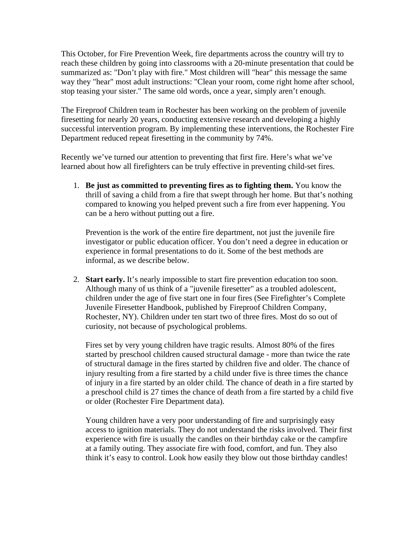This October, for Fire Prevention Week, fire departments across the country will try to reach these children by going into classrooms with a 20-minute presentation that could be summarized as: "Don't play with fire." Most children will "hear" this message the same way they "hear" most adult instructions: "Clean your room, come right home after school, stop teasing your sister." The same old words, once a year, simply aren't enough.

The Fireproof Children team in Rochester has been working on the problem of juvenile firesetting for nearly 20 years, conducting extensive research and developing a highly successful intervention program. By implementing these interventions, the Rochester Fire Department reduced repeat firesetting in the community by 74%.

Recently we've turned our attention to preventing that first fire. Here's what we've learned about how all firefighters can be truly effective in preventing child-set fires.

1. **Be just as committed to preventing fires as to fighting them.** You know the thrill of saving a child from a fire that swept through her home. But that's nothing compared to knowing you helped prevent such a fire from ever happening. You can be a hero without putting out a fire.

Prevention is the work of the entire fire department*,* not just the juvenile fire investigator or public education officer. You don't need a degree in education or experience in formal presentations to do it. Some of the best methods are informal, as we describe below.

2. **Start early.** It's nearly impossible to start fire prevention education too soon. Although many of us think of a "juvenile firesetter" as a troubled adolescent, children under the age of five start one in four fires (See Firefighter's Complete Juvenile Firesetter Handbook, published by Fireproof Children Company, Rochester, NY). Children under ten start two of three fires. Most do so out of curiosity, not because of psychological problems.

Fires set by very young children have tragic results. Almost 80% of the fires started by preschool children caused structural damage - more than twice the rate of structural damage in the fires started by children five and older. The chance of injury resulting from a fire started by a child under five is three times the chance of injury in a fire started by an older child. The chance of death in a fire started by a preschool child is 27 times the chance of death from a fire started by a child five or older (Rochester Fire Department data).

Young children have a very poor understanding of fire and surprisingly easy access to ignition materials. They do not understand the risks involved. Their first experience with fire is usually the candles on their birthday cake or the campfire at a family outing. They associate fire with food, comfort, and fun. They also think it's easy to control. Look how easily they blow out those birthday candles!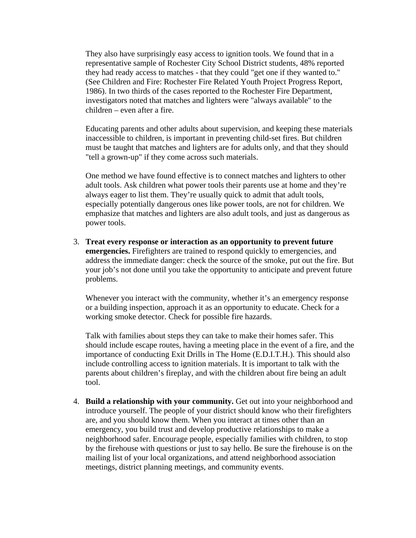They also have surprisingly easy access to ignition tools. We found that in a representative sample of Rochester City School District students, 48% reported they had ready access to matches - that they could "get one if they wanted to." (See Children and Fire: Rochester Fire Related Youth Project Progress Report, 1986). In two thirds of the cases reported to the Rochester Fire Department, investigators noted that matches and lighters were "always available" to the children – even after a fire.

Educating parents and other adults about supervision, and keeping these materials inaccessible to children, is important in preventing child-set fires. But children must be taught that matches and lighters are for adults only, and that they should "tell a grown-up" if they come across such materials.

One method we have found effective is to connect matches and lighters to other adult tools. Ask children what power tools their parents use at home and they're always eager to list them. They're usually quick to admit that adult tools, especially potentially dangerous ones like power tools, are not for children. We emphasize that matches and lighters are also adult tools, and just as dangerous as power tools.

3. **Treat every response or interaction as an opportunity to prevent future emergencies.** Firefighters are trained to respond quickly to emergencies, and address the immediate danger: check the source of the smoke, put out the fire. But your job's not done until you take the opportunity to anticipate and prevent future problems.

Whenever you interact with the community, whether it's an emergency response or a building inspection, approach it as an opportunity to educate. Check for a working smoke detector. Check for possible fire hazards.

Talk with families about steps they can take to make their homes safer. This should include escape routes, having a meeting place in the event of a fire, and the importance of conducting Exit Drills in The Home (E.D.I.T.H.). This should also include controlling access to ignition materials. It is important to talk with the parents about children's fireplay, and with the children about fire being an adult tool.

4. **Build a relationship with your community.** Get out into your neighborhood and introduce yourself. The people of your district should know who their firefighters are, and you should know them. When you interact at times other than an emergency, you build trust and develop productive relationships to make a neighborhood safer. Encourage people, especially families with children, to stop by the firehouse with questions or just to say hello. Be sure the firehouse is on the mailing list of your local organizations, and attend neighborhood association meetings, district planning meetings, and community events.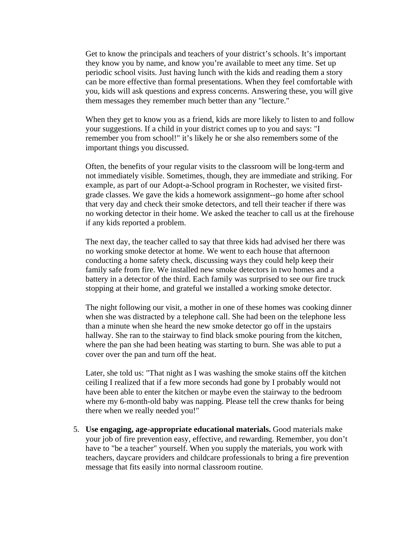Get to know the principals and teachers of your district's schools. It's important they know you by name, and know you're available to meet any time. Set up periodic school visits. Just having lunch with the kids and reading them a story can be more effective than formal presentations. When they feel comfortable with you, kids will ask questions and express concerns. Answering these, you will give them messages they remember much better than any "lecture."

When they get to know you as a friend, kids are more likely to listen to and follow your suggestions. If a child in your district comes up to you and says: "I remember you from school!" it's likely he or she also remembers some of the important things you discussed.

Often, the benefits of your regular visits to the classroom will be long-term and not immediately visible. Sometimes, though, they are immediate and striking. For example, as part of our Adopt-a-School program in Rochester, we visited firstgrade classes. We gave the kids a homework assignment--go home after school that very day and check their smoke detectors, and tell their teacher if there was no working detector in their home. We asked the teacher to call us at the firehouse if any kids reported a problem.

The next day, the teacher called to say that three kids had advised her there was no working smoke detector at home. We went to each house that afternoon conducting a home safety check, discussing ways they could help keep their family safe from fire. We installed new smoke detectors in two homes and a battery in a detector of the third. Each family was surprised to see our fire truck stopping at their home, and grateful we installed a working smoke detector.

The night following our visit, a mother in one of these homes was cooking dinner when she was distracted by a telephone call. She had been on the telephone less than a minute when she heard the new smoke detector go off in the upstairs hallway. She ran to the stairway to find black smoke pouring from the kitchen, where the pan she had been heating was starting to burn. She was able to put a cover over the pan and turn off the heat.

Later, she told us: "That night as I was washing the smoke stains off the kitchen ceiling I realized that if a few more seconds had gone by I probably would not have been able to enter the kitchen or maybe even the stairway to the bedroom where my 6-month-old baby was napping. Please tell the crew thanks for being there when we really needed you!"

5. **Use engaging, age-appropriate educational materials.** Good materials make your job of fire prevention easy, effective, and rewarding. Remember, you don't have to "be a teacher" yourself. When you supply the materials, you work with teachers, daycare providers and childcare professionals to bring a fire prevention message that fits easily into normal classroom routine.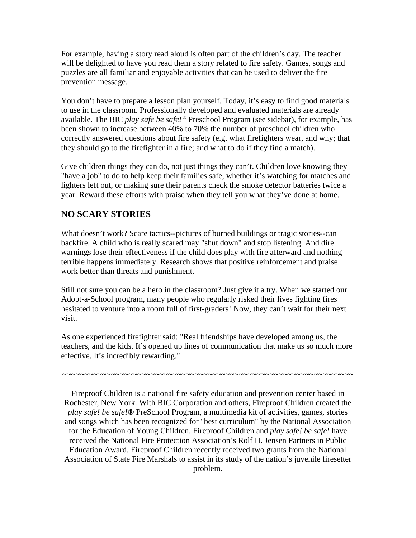For example, having a story read aloud is often part of the children's day. The teacher will be delighted to have you read them a story related to fire safety. Games, songs and puzzles are all familiar and enjoyable activities that can be used to deliver the fire prevention message.

You don't have to prepare a lesson plan yourself. Today, it's easy to find good materials to use in the classroom. Professionally developed and evaluated materials are already available. The BIC *play safe be safe! ®* Preschool Program (see sidebar), for example, has been shown to increase between 40% to 70% the number of preschool children who correctly answered questions about fire safety (e.g. what firefighters wear, and why; that they should go to the firefighter in a fire; and what to do if they find a match).

Give children things they can do, not just things they can't. Children love knowing they "have a job" to do to help keep their families safe, whether it's watching for matches and lighters left out, or making sure their parents check the smoke detector batteries twice a year. Reward these efforts with praise when they tell you what they've done at home.

## **NO SCARY STORIES**

What doesn't work? Scare tactics--pictures of burned buildings or tragic stories--can backfire. A child who is really scared may "shut down" and stop listening. And dire warnings lose their effectiveness if the child does play with fire afterward and nothing terrible happens immediately. Research shows that positive reinforcement and praise work better than threats and punishment.

Still not sure you can be a hero in the classroom? Just give it a try. When we started our Adopt-a-School program, many people who regularly risked their lives fighting fires hesitated to venture into a room full of first-graders! Now, they can't wait for their next visit.

As one experienced firefighter said: "Real friendships have developed among us, the teachers, and the kids. It's opened up lines of communication that make us so much more effective. It's incredibly rewarding."

~~~~~~~~~~~~~~~~~~~~~~~~~~~~~~~~~~~~~~~~~~~~~~~~~~~~~~~~~~~~~~~~~~

Fireproof Children is a national fire safety education and prevention center based in Rochester, New York. With BIC Corporation and others, Fireproof Children created the *play safe! be safe!®* PreSchool Program, a multimedia kit of activities, games, stories and songs which has been recognized for "best curriculum" by the National Association for the Education of Young Children. Fireproof Children and *play safe! be safe!* have received the National Fire Protection Association's Rolf H. Jensen Partners in Public Education Award. Fireproof Children recently received two grants from the National Association of State Fire Marshals to assist in its study of the nation's juvenile firesetter problem.